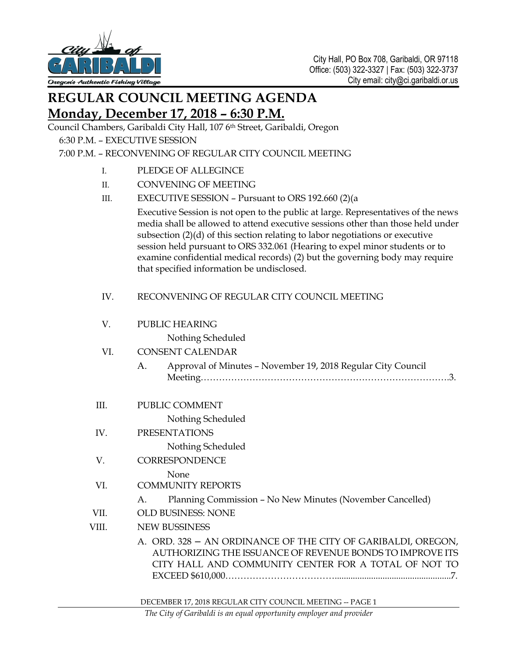

## **REGULAR COUNCIL MEETING AGENDA Monday, December 17, 2018 – 6:30 P.M.**

Council Chambers, Garibaldi City Hall, 107 6th Street, Garibaldi, Oregon

6:30 P.M. – EXECUTIVE SESSION

## 7:00 P.M. – RECONVENING OF REGULAR CITY COUNCIL MEETING

- I. PLEDGE OF ALLEGINCE
- II. CONVENING OF MEETING
- III. EXECUTIVE SESSION Pursuant to ORS 192.660 (2)(a

Executive Session is not open to the public at large. Representatives of the news media shall be allowed to attend executive sessions other than those held under subsection (2)(d) of this section relating to labor negotiations or executive session held pursuant to ORS [332.061 \(Hearing to expel minor students or to](https://www.oregonlaws.org/ors/332.061)  [examine confidential medical records\)](https://www.oregonlaws.org/ors/332.061) (2) but the governing body may require that specified information be undisclosed.

## IV. RECONVENING OF REGULAR CITY COUNCIL MEETING

| V.    | PUBLIC HEARING                                                                                                                                                                   |
|-------|----------------------------------------------------------------------------------------------------------------------------------------------------------------------------------|
|       | Nothing Scheduled                                                                                                                                                                |
| VI.   | <b>CONSENT CALENDAR</b>                                                                                                                                                          |
|       | Approval of Minutes - November 19, 2018 Regular City Council<br>A.                                                                                                               |
| III.  | PUBLIC COMMENT                                                                                                                                                                   |
|       | Nothing Scheduled                                                                                                                                                                |
| IV.   | <b>PRESENTATIONS</b>                                                                                                                                                             |
|       | Nothing Scheduled                                                                                                                                                                |
| V.    | <b>CORRESPONDENCE</b>                                                                                                                                                            |
|       | None                                                                                                                                                                             |
| VI.   | <b>COMMUNITY REPORTS</b>                                                                                                                                                         |
|       | Planning Commission - No New Minutes (November Cancelled)<br>A.                                                                                                                  |
| VII.  | OLD BUSINESS: NONE                                                                                                                                                               |
| VIII. | <b>NEW BUSSINESS</b>                                                                                                                                                             |
|       | A. ORD. 328 - AN ORDINANCE OF THE CITY OF GARIBALDI, OREGON,<br>AUTHORIZING THE ISSUANCE OF REVENUE BONDS TO IMPROVE ITS<br>CITY HALL AND COMMUNITY CENTER FOR A TOTAL OF NOT TO |